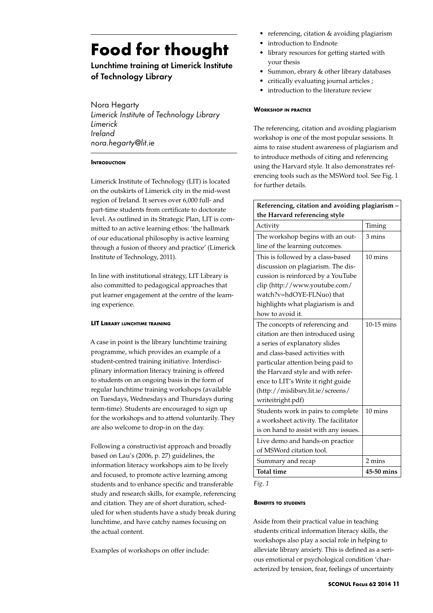# **Food for thought**

# Lunchtime training at Limerick Institute of Technology Library

Nora Hegarty *Limerick Institute of Technology Library Limerick Ireland nora.hegarty@lit.ie* 

### **INTRODUCTION**

Limerick Institute of Technology (LIT) is located on the outskirts of Limerick city in the mid-west region of Ireland. It serves over 6,000 full- and part-time students from certificate to doctorate level. As outlined in its Strategic Plan, LIT is committed to an active learning ethos: 'the hallmark of our educational philosophy is active learning through a fusion of theory and practice' (Limerick Institute of Technology, 2011).

In line with institutional strategy, LIT Library is also committed to pedagogical approaches that put learner engagement at the centre of the learning experience.

## **LIT Library lunchtime training**

A case in point is the library lunchtime training programme, which provides an example of a student-centred training initiative. Interdisciplinary information literacy training is offered to students on an ongoing basis in the form of regular lunchtime training workshops (available on Tuesdays, Wednesdays and Thursdays during term-time). Students are encouraged to sign up for the workshops and to attend voluntarily. They are also welcome to drop-in on the day.

Following a constructivist approach and broadly based on Lau's (2006, p. 27) guidelines, the information literacy workshops aim to be lively and focused, to promote active learning among students and to enhance specific and transferable study and research skills, for example, referencing and citation. They are of short duration, scheduled for when students have a study break during lunchtime, and have catchy names focusing on the actual content.

Examples of workshops on offer include:

- *•*  referencing, citation & avoiding plagiarism
- introduction to Endnote
- library resources for getting started with your thesis
- *•*  Summon, ebrary & other library databases
- critically evaluating journal articles ;
- introduction to the literature review

#### **Workshop in practice**

The referencing, citation and avoiding plagiarism workshop is one of the most popular sessions. It aims to raise student awareness of plagiarism and to introduce methods of citing and referencing using the Harvard style. It also demonstrates referencing tools such as the MSWord tool. See Fig. 1 for further details.

| Referencing, citation and avoiding plagiarism - |                   |
|-------------------------------------------------|-------------------|
| the Harvard referencing style                   |                   |
| Activity                                        | Timing            |
| The workshop begins with an out-                | $3 \text{ mins}$  |
| line of the learning outcomes.                  |                   |
| This is followed by a class-based               | $10 \text{ mins}$ |
| discussion on plagiarism. The dis-              |                   |
| cussion is reinforced by a YouTube              |                   |
| clip (http://www.youtube.com/                   |                   |
| watch?v=hdOYE-FLNuo) that                       |                   |
| highlights what plagiarism is and               |                   |
| how to avoid it.                                |                   |
| The concepts of referencing and                 | 10-15 mins        |
| citation are then introduced using              |                   |
| a series of explanatory slides                  |                   |
| and class-based activities with                 |                   |
| particular attention being paid to              |                   |
| the Harvard style and with refer-               |                   |
| ence to LIT's Write it right guide              |                   |
| (http://mislibsrv.lit.ie/screens/               |                   |
| writeitright.pdf)                               |                   |
| Students work in pairs to complete              | 10 mins           |
| a worksheet activity. The facilitator           |                   |
| is on hand to assist with any issues.           |                   |
| Live demo and hands-on practice                 |                   |
| of MSWord citation tool.                        |                   |
| Summary and recap                               | 2 mins            |
| <b>Total time</b>                               | 45-50 mins        |

*Fig. 1*

### **Benefits to students**

Aside from their practical value in teaching students critical information literacy skills, the workshops also play a social role in helping to alleviate library anxiety. This is defined as a serious emotional or psychological condition 'characterized by tension, fear, feelings of uncertainty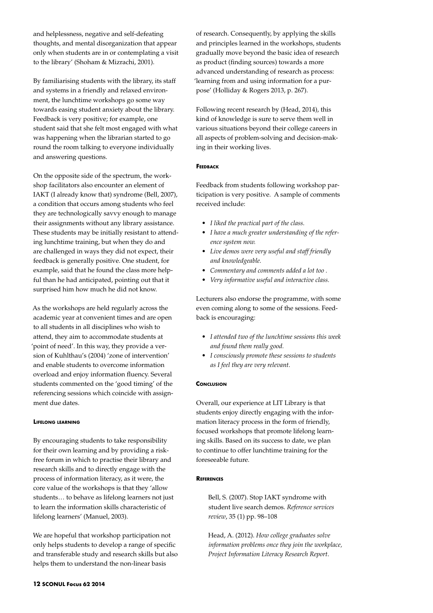and helplessness, negative and self-defeating thoughts, and mental disorganization that appear only when students are in or contemplating a visit to the library' (Shoham & Mizrachi, 2001).

By familiarising students with the library, its staff and systems in a friendly and relaxed environment, the lunchtime workshops go some way towards easing student anxiety about the library. Feedback is very positive; for example, one student said that she felt most engaged with what was happening when the librarian started to go round the room talking to everyone individually and answering questions.

On the opposite side of the spectrum, the workshop facilitators also encounter an element of IAKT (I already know that) syndrome (Bell, 2007), a condition that occurs among students who feel they are technologically savvy enough to manage their assignments without any library assistance. These students may be initially resistant to attending lunchtime training, but when they do and are challenged in ways they did not expect, their feedback is generally positive. One student, for example, said that he found the class more helpful than he had anticipated, pointing out that it surprised him how much he did not know.

As the workshops are held regularly across the academic year at convenient times and are open to all students in all disciplines who wish to attend, they aim to accommodate students at 'point of need'. In this way, they provide a version of Kuhlthau's (2004) 'zone of intervention' and enable students to overcome information overload and enjoy information fluency. Several students commented on the 'good timing' of the referencing sessions which coincide with assignment due dates.

### **Lifelong learning**

By encouraging students to take responsibility for their own learning and by providing a riskfree forum in which to practise their library and research skills and to directly engage with the process of information literacy, as it were, the core value of the workshops is that they 'allow students… to behave as lifelong learners not just to learn the information skills characteristic of lifelong learners' (Manuel, 2003).

We are hopeful that workshop participation not only helps students to develop a range of specific and transferable study and research skills but also helps them to understand the non-linear basis

of research. Consequently, by applying the skills and principles learned in the workshops, students gradually move beyond the basic idea of research as product (finding sources) towards a more advanced understanding of research as process: 'learning from and using information for a purpose' (Holliday & Rogers 2013, p. 267).

Following recent research by (Head, 2014), this kind of knowledge is sure to serve them well in various situations beyond their college careers in all aspects of problem-solving and decision-making in their working lives.

#### **FEEDBACK**

Feedback from students following workshop participation is very positive. A sample of comments received include:

- *• I liked the practical part of the class.*
- *• I have a much greater understanding of the reference system now.*
- *• Live demos were very useful and staff friendly and knowledgeable.*
- *• Commentary and comments added a lot too .*
- *• Very informative useful and interactive class.*

Lecturers also endorse the programme, with some even coming along to some of the sessions. Feedback is encouraging:

- *• I attended two of the lunchtime sessions this week and found them really good.*
- *• I consciously promote these sessions to students as I feel they are very relevant.*

### **CONCLUSION**

Overall, our experience at LIT Library is that students enjoy directly engaging with the information literacy process in the form of friendly, focused workshops that promote lifelong learning skills. Based on its success to date, we plan to continue to offer lunchtime training for the foreseeable future.

## **References**

Bell, S. (2007). Stop IAKT syndrome with student live search demos. *Reference services review*, 35 (1) pp. 98–108

Head, A. (2012). *How college graduates solve information problems once they join the workplace, Project Information Literacy Research Report*.